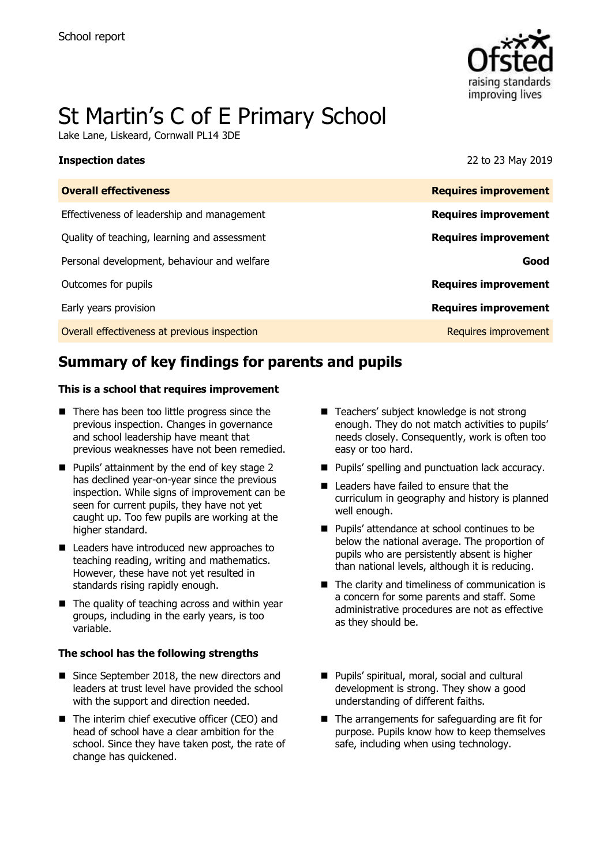

# St Martin's C of E Primary School

Lake Lane, Liskeard, Cornwall PL14 3DE

#### **Inspection dates** 22 to 23 May 2019

| <b>Overall effectiveness</b>                 | <b>Requires improvement</b> |
|----------------------------------------------|-----------------------------|
| Effectiveness of leadership and management   | <b>Requires improvement</b> |
| Quality of teaching, learning and assessment | <b>Requires improvement</b> |
| Personal development, behaviour and welfare  | Good                        |
| Outcomes for pupils                          | <b>Requires improvement</b> |
| Early years provision                        | <b>Requires improvement</b> |
| Overall effectiveness at previous inspection | Requires improvement        |
|                                              |                             |

# **Summary of key findings for parents and pupils**

#### **This is a school that requires improvement**

- There has been too little progress since the previous inspection. Changes in governance and school leadership have meant that previous weaknesses have not been remedied.
- $\blacksquare$  Pupils' attainment by the end of key stage 2 has declined year-on-year since the previous inspection. While signs of improvement can be seen for current pupils, they have not yet caught up. Too few pupils are working at the higher standard.
- Leaders have introduced new approaches to teaching reading, writing and mathematics. However, these have not yet resulted in standards rising rapidly enough.
- $\blacksquare$  The quality of teaching across and within year groups, including in the early years, is too variable.

#### **The school has the following strengths**

- Since September 2018, the new directors and leaders at trust level have provided the school with the support and direction needed.
- The interim chief executive officer (CEO) and head of school have a clear ambition for the school. Since they have taken post, the rate of change has quickened.
- Teachers' subject knowledge is not strong enough. They do not match activities to pupils' needs closely. Consequently, work is often too easy or too hard.
- **Pupils' spelling and punctuation lack accuracy.**
- Leaders have failed to ensure that the curriculum in geography and history is planned well enough.
- **Pupils' attendance at school continues to be** below the national average. The proportion of pupils who are persistently absent is higher than national levels, although it is reducing.
- $\blacksquare$  The clarity and timeliness of communication is a concern for some parents and staff. Some administrative procedures are not as effective as they should be.
- Pupils' spiritual, moral, social and cultural development is strong. They show a good understanding of different faiths.
- $\blacksquare$  The arrangements for safeguarding are fit for purpose. Pupils know how to keep themselves safe, including when using technology.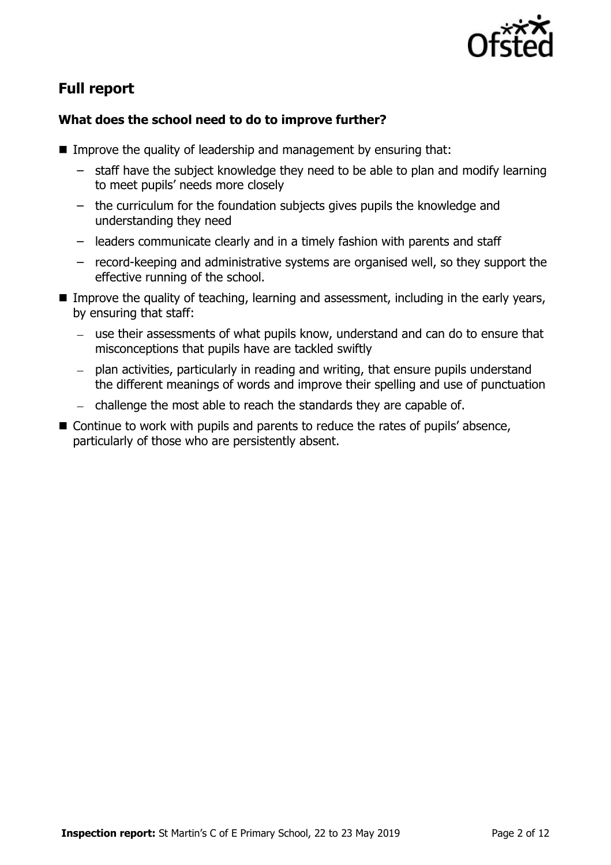

# **Full report**

### **What does the school need to do to improve further?**

- Improve the quality of leadership and management by ensuring that:
	- staff have the subject knowledge they need to be able to plan and modify learning to meet pupils' needs more closely
	- the curriculum for the foundation subjects gives pupils the knowledge and understanding they need
	- leaders communicate clearly and in a timely fashion with parents and staff
	- record-keeping and administrative systems are organised well, so they support the effective running of the school.
- Improve the quality of teaching, learning and assessment, including in the early years, by ensuring that staff:
	- use their assessments of what pupils know, understand and can do to ensure that misconceptions that pupils have are tackled swiftly
	- plan activities, particularly in reading and writing, that ensure pupils understand the different meanings of words and improve their spelling and use of punctuation
	- $-$  challenge the most able to reach the standards they are capable of.
- Continue to work with pupils and parents to reduce the rates of pupils' absence, particularly of those who are persistently absent.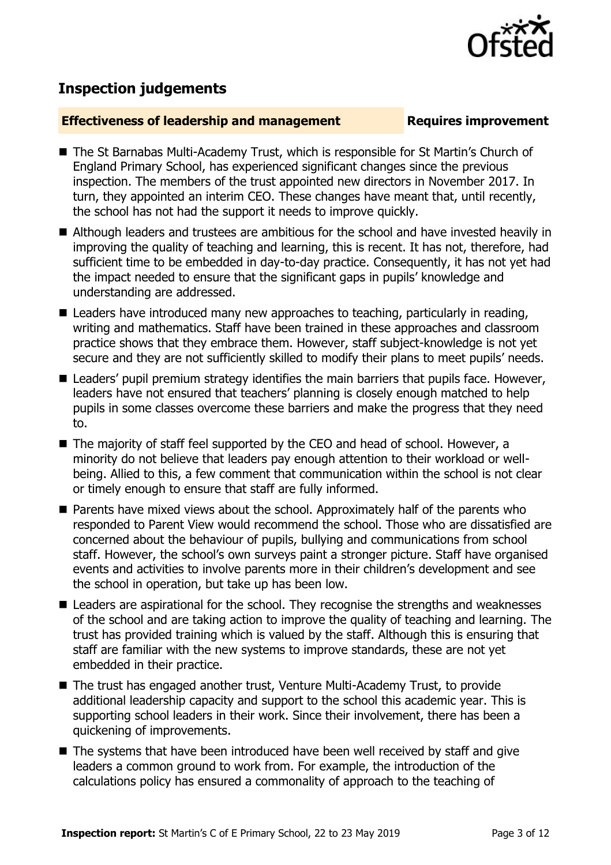# **Inspection judgements**

#### **Effectiveness of leadership and management Requires improvement**

- The St Barnabas Multi-Academy Trust, which is responsible for St Martin's Church of England Primary School, has experienced significant changes since the previous inspection. The members of the trust appointed new directors in November 2017. In turn, they appointed an interim CEO. These changes have meant that, until recently, the school has not had the support it needs to improve quickly.
- Although leaders and trustees are ambitious for the school and have invested heavily in improving the quality of teaching and learning, this is recent. It has not, therefore, had sufficient time to be embedded in day-to-day practice. Consequently, it has not yet had the impact needed to ensure that the significant gaps in pupils' knowledge and understanding are addressed.
- Leaders have introduced many new approaches to teaching, particularly in reading, writing and mathematics. Staff have been trained in these approaches and classroom practice shows that they embrace them. However, staff subject-knowledge is not yet secure and they are not sufficiently skilled to modify their plans to meet pupils' needs.
- Leaders' pupil premium strategy identifies the main barriers that pupils face. However, leaders have not ensured that teachers' planning is closely enough matched to help pupils in some classes overcome these barriers and make the progress that they need to.
- The majority of staff feel supported by the CEO and head of school. However, a minority do not believe that leaders pay enough attention to their workload or wellbeing. Allied to this, a few comment that communication within the school is not clear or timely enough to ensure that staff are fully informed.
- **Parents have mixed views about the school. Approximately half of the parents who** responded to Parent View would recommend the school. Those who are dissatisfied are concerned about the behaviour of pupils, bullying and communications from school staff. However, the school's own surveys paint a stronger picture. Staff have organised events and activities to involve parents more in their children's development and see the school in operation, but take up has been low.
- Leaders are aspirational for the school. They recognise the strengths and weaknesses of the school and are taking action to improve the quality of teaching and learning. The trust has provided training which is valued by the staff. Although this is ensuring that staff are familiar with the new systems to improve standards, these are not yet embedded in their practice.
- The trust has engaged another trust, Venture Multi-Academy Trust, to provide additional leadership capacity and support to the school this academic year. This is supporting school leaders in their work. Since their involvement, there has been a quickening of improvements.
- The systems that have been introduced have been well received by staff and give leaders a common ground to work from. For example, the introduction of the calculations policy has ensured a commonality of approach to the teaching of

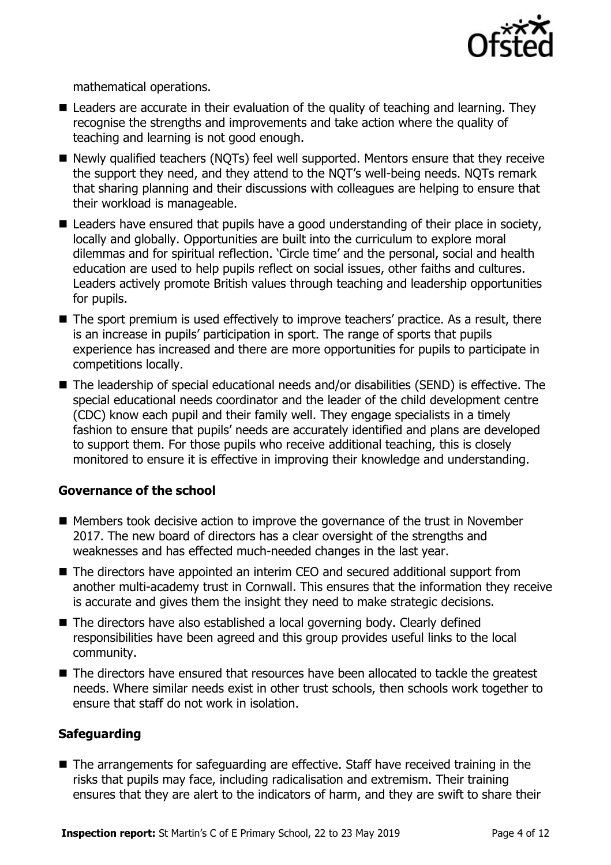

mathematical operations.

- Leaders are accurate in their evaluation of the quality of teaching and learning. They recognise the strengths and improvements and take action where the quality of teaching and learning is not good enough.
- Newly qualified teachers (NQTs) feel well supported. Mentors ensure that they receive the support they need, and they attend to the NQT's well-being needs. NQTs remark that sharing planning and their discussions with colleagues are helping to ensure that their workload is manageable.
- Leaders have ensured that pupils have a good understanding of their place in society, locally and globally. Opportunities are built into the curriculum to explore moral dilemmas and for spiritual reflection. 'Circle time' and the personal, social and health education are used to help pupils reflect on social issues, other faiths and cultures. Leaders actively promote British values through teaching and leadership opportunities for pupils.
- The sport premium is used effectively to improve teachers' practice. As a result, there is an increase in pupils' participation in sport. The range of sports that pupils experience has increased and there are more opportunities for pupils to participate in competitions locally.
- The leadership of special educational needs and/or disabilities (SEND) is effective. The special educational needs coordinator and the leader of the child development centre (CDC) know each pupil and their family well. They engage specialists in a timely fashion to ensure that pupils' needs are accurately identified and plans are developed to support them. For those pupils who receive additional teaching, this is closely monitored to ensure it is effective in improving their knowledge and understanding.

#### **Governance of the school**

- $\blacksquare$  Members took decisive action to improve the governance of the trust in November 2017. The new board of directors has a clear oversight of the strengths and weaknesses and has effected much-needed changes in the last year.
- The directors have appointed an interim CEO and secured additional support from another multi-academy trust in Cornwall. This ensures that the information they receive is accurate and gives them the insight they need to make strategic decisions.
- The directors have also established a local governing body. Clearly defined responsibilities have been agreed and this group provides useful links to the local community.
- The directors have ensured that resources have been allocated to tackle the greatest needs. Where similar needs exist in other trust schools, then schools work together to ensure that staff do not work in isolation.

#### **Safeguarding**

■ The arrangements for safeguarding are effective. Staff have received training in the risks that pupils may face, including radicalisation and extremism. Their training ensures that they are alert to the indicators of harm, and they are swift to share their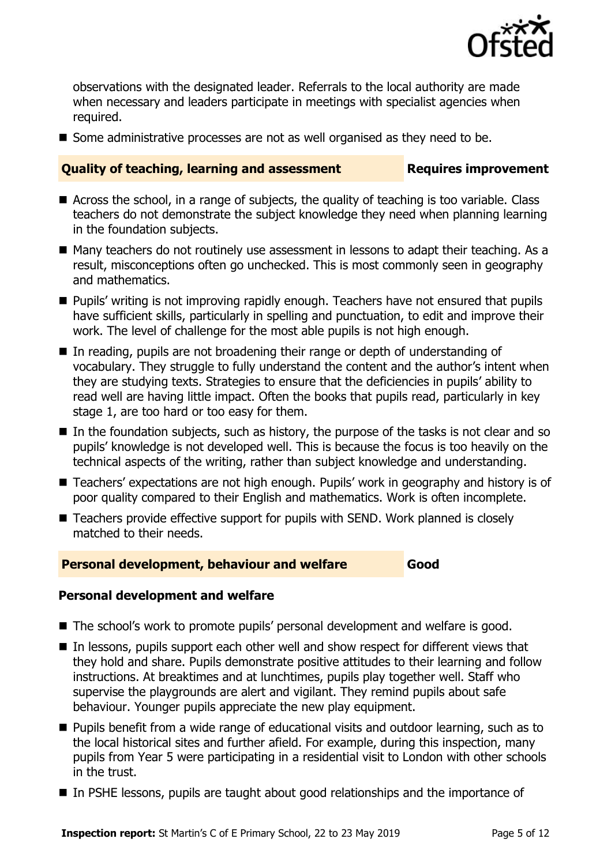

observations with the designated leader. Referrals to the local authority are made when necessary and leaders participate in meetings with specialist agencies when required.

■ Some administrative processes are not as well organised as they need to be.

### **Quality of teaching, learning and assessment Fig. 2.1 Requires improvement**

- Across the school, in a range of subjects, the quality of teaching is too variable. Class teachers do not demonstrate the subject knowledge they need when planning learning in the foundation subjects.
- Many teachers do not routinely use assessment in lessons to adapt their teaching. As a result, misconceptions often go unchecked. This is most commonly seen in geography and mathematics.
- **Pupils'** writing is not improving rapidly enough. Teachers have not ensured that pupils have sufficient skills, particularly in spelling and punctuation, to edit and improve their work. The level of challenge for the most able pupils is not high enough.
- In reading, pupils are not broadening their range or depth of understanding of vocabulary. They struggle to fully understand the content and the author's intent when they are studying texts. Strategies to ensure that the deficiencies in pupils' ability to read well are having little impact. Often the books that pupils read, particularly in key stage 1, are too hard or too easy for them.
- In the foundation subjects, such as history, the purpose of the tasks is not clear and so pupils' knowledge is not developed well. This is because the focus is too heavily on the technical aspects of the writing, rather than subject knowledge and understanding.
- Teachers' expectations are not high enough. Pupils' work in geography and history is of poor quality compared to their English and mathematics. Work is often incomplete.
- Teachers provide effective support for pupils with SEND. Work planned is closely matched to their needs.

#### **Personal development, behaviour and welfare Good**

### **Personal development and welfare**

- The school's work to promote pupils' personal development and welfare is good.
- In lessons, pupils support each other well and show respect for different views that they hold and share. Pupils demonstrate positive attitudes to their learning and follow instructions. At breaktimes and at lunchtimes, pupils play together well. Staff who supervise the playgrounds are alert and vigilant. They remind pupils about safe behaviour. Younger pupils appreciate the new play equipment.
- **Pupils benefit from a wide range of educational visits and outdoor learning, such as to** the local historical sites and further afield. For example, during this inspection, many pupils from Year 5 were participating in a residential visit to London with other schools in the trust.
- In PSHE lessons, pupils are taught about good relationships and the importance of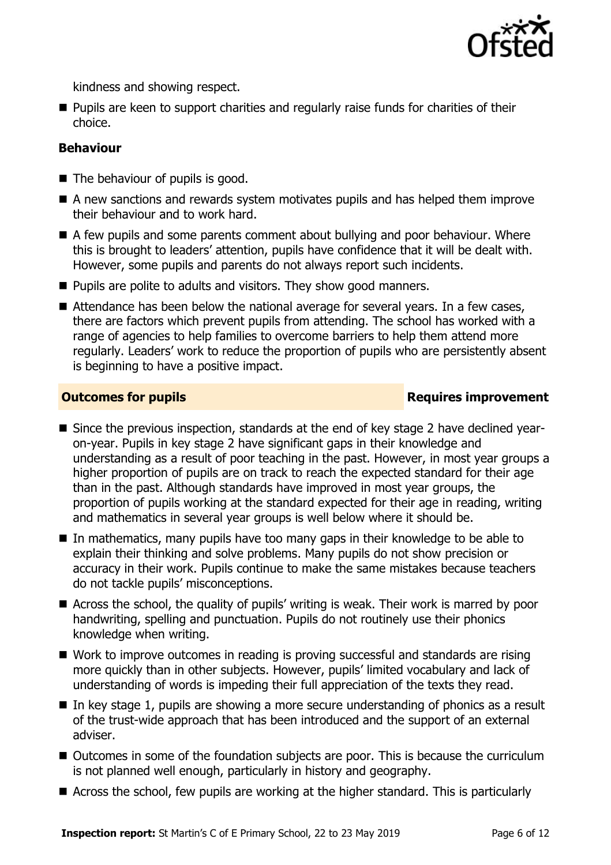

kindness and showing respect.

**Pupils are keen to support charities and regularly raise funds for charities of their** choice.

#### **Behaviour**

- The behaviour of pupils is good.
- A new sanctions and rewards system motivates pupils and has helped them improve their behaviour and to work hard.
- A few pupils and some parents comment about bullying and poor behaviour. Where this is brought to leaders' attention, pupils have confidence that it will be dealt with. However, some pupils and parents do not always report such incidents.
- **Pupils are polite to adults and visitors. They show good manners.**
- Attendance has been below the national average for several years. In a few cases, there are factors which prevent pupils from attending. The school has worked with a range of agencies to help families to overcome barriers to help them attend more regularly. Leaders' work to reduce the proportion of pupils who are persistently absent is beginning to have a positive impact.

#### **Outcomes for pupils Requires improvement**

- Since the previous inspection, standards at the end of key stage 2 have declined yearon-year. Pupils in key stage 2 have significant gaps in their knowledge and understanding as a result of poor teaching in the past. However, in most year groups a higher proportion of pupils are on track to reach the expected standard for their age than in the past. Although standards have improved in most year groups, the proportion of pupils working at the standard expected for their age in reading, writing and mathematics in several year groups is well below where it should be.
- In mathematics, many pupils have too many gaps in their knowledge to be able to explain their thinking and solve problems. Many pupils do not show precision or accuracy in their work. Pupils continue to make the same mistakes because teachers do not tackle pupils' misconceptions.
- Across the school, the quality of pupils' writing is weak. Their work is marred by poor handwriting, spelling and punctuation. Pupils do not routinely use their phonics knowledge when writing.
- Work to improve outcomes in reading is proving successful and standards are rising more quickly than in other subjects. However, pupils' limited vocabulary and lack of understanding of words is impeding their full appreciation of the texts they read.
- $\blacksquare$  In key stage 1, pupils are showing a more secure understanding of phonics as a result of the trust-wide approach that has been introduced and the support of an external adviser.
- Outcomes in some of the foundation subjects are poor. This is because the curriculum is not planned well enough, particularly in history and geography.
- Across the school, few pupils are working at the higher standard. This is particularly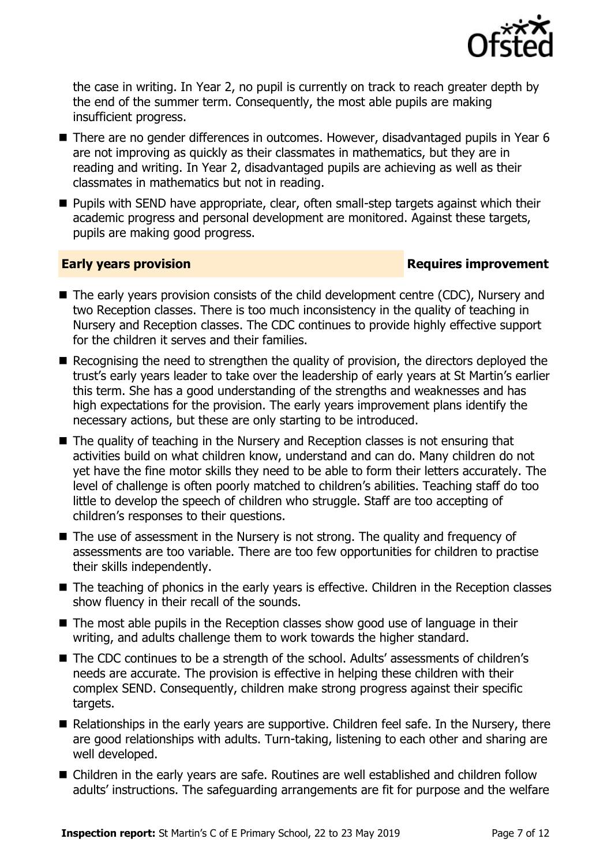

the case in writing. In Year 2, no pupil is currently on track to reach greater depth by the end of the summer term. Consequently, the most able pupils are making insufficient progress.

- There are no gender differences in outcomes. However, disadvantaged pupils in Year 6 are not improving as quickly as their classmates in mathematics, but they are in reading and writing. In Year 2, disadvantaged pupils are achieving as well as their classmates in mathematics but not in reading.
- **Pupils with SEND have appropriate, clear, often small-step targets against which their** academic progress and personal development are monitored. Against these targets, pupils are making good progress.

#### **Early years provision**

- The early years provision consists of the child development centre (CDC), Nursery and two Reception classes. There is too much inconsistency in the quality of teaching in Nursery and Reception classes. The CDC continues to provide highly effective support for the children it serves and their families.
- Recognising the need to strengthen the quality of provision, the directors deployed the trust's early years leader to take over the leadership of early years at St Martin's earlier this term. She has a good understanding of the strengths and weaknesses and has high expectations for the provision. The early years improvement plans identify the necessary actions, but these are only starting to be introduced.
- The quality of teaching in the Nursery and Reception classes is not ensuring that activities build on what children know, understand and can do. Many children do not yet have the fine motor skills they need to be able to form their letters accurately. The level of challenge is often poorly matched to children's abilities. Teaching staff do too little to develop the speech of children who struggle. Staff are too accepting of children's responses to their questions.
- The use of assessment in the Nursery is not strong. The quality and frequency of assessments are too variable. There are too few opportunities for children to practise their skills independently.
- The teaching of phonics in the early years is effective. Children in the Reception classes show fluency in their recall of the sounds.
- The most able pupils in the Reception classes show good use of language in their writing, and adults challenge them to work towards the higher standard.
- The CDC continues to be a strength of the school. Adults' assessments of children's needs are accurate. The provision is effective in helping these children with their complex SEND. Consequently, children make strong progress against their specific targets.
- Relationships in the early years are supportive. Children feel safe. In the Nursery, there are good relationships with adults. Turn-taking, listening to each other and sharing are well developed.
- Children in the early years are safe. Routines are well established and children follow adults' instructions. The safeguarding arrangements are fit for purpose and the welfare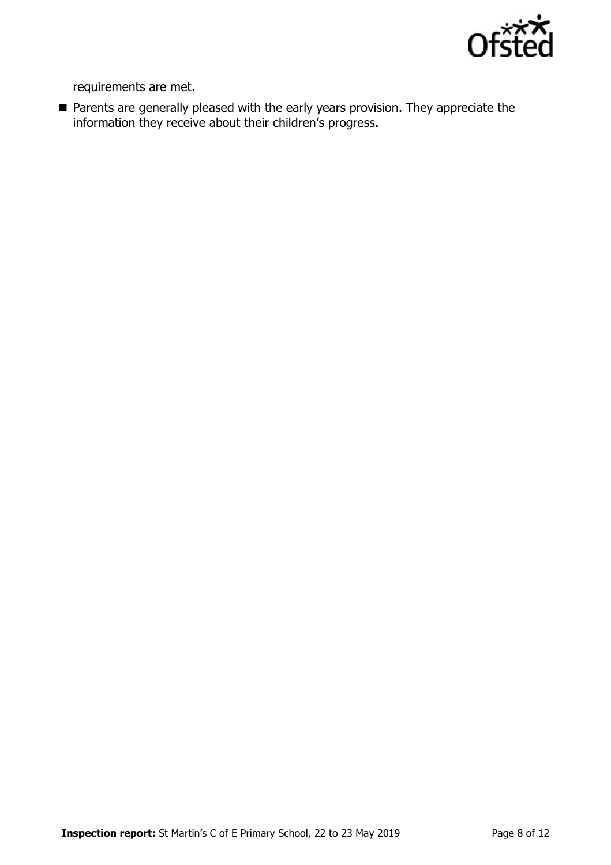

requirements are met.

**Parents are generally pleased with the early years provision. They appreciate the** information they receive about their children's progress.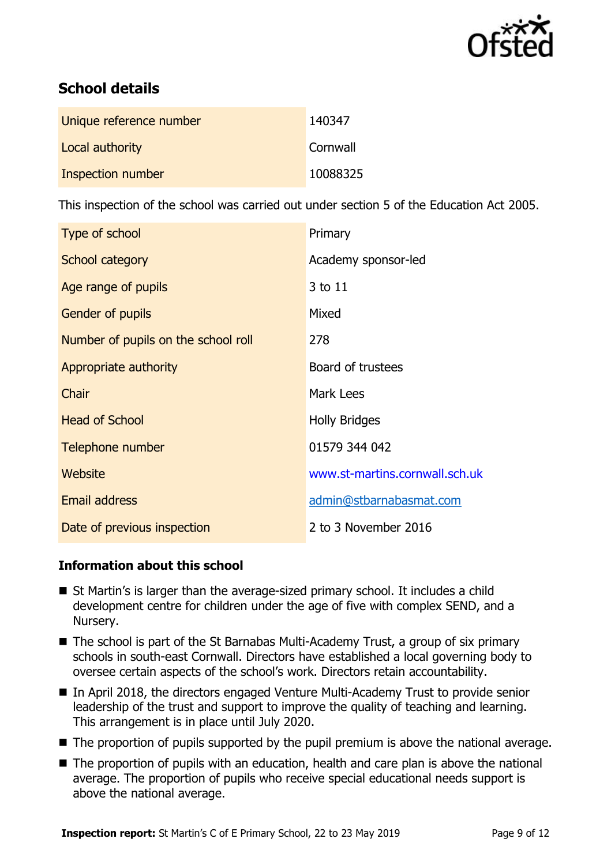

# **School details**

| Unique reference number | 140347   |
|-------------------------|----------|
| Local authority         | Cornwall |
| Inspection number       | 10088325 |

This inspection of the school was carried out under section 5 of the Education Act 2005.

| Type of school                      | Primary                        |
|-------------------------------------|--------------------------------|
| School category                     | Academy sponsor-led            |
| Age range of pupils                 | 3 to 11                        |
| Gender of pupils                    | Mixed                          |
| Number of pupils on the school roll | 278                            |
| Appropriate authority               | Board of trustees              |
| Chair                               | Mark Lees                      |
| <b>Head of School</b>               | <b>Holly Bridges</b>           |
| Telephone number                    | 01579 344 042                  |
| Website                             | www.st-martins.cornwall.sch.uk |
| Email address                       | admin@stbarnabasmat.com        |
| Date of previous inspection         | 2 to 3 November 2016           |

#### **Information about this school**

- St Martin's is larger than the average-sized primary school. It includes a child development centre for children under the age of five with complex SEND, and a Nursery.
- The school is part of the St Barnabas Multi-Academy Trust, a group of six primary schools in south-east Cornwall. Directors have established a local governing body to oversee certain aspects of the school's work. Directors retain accountability.
- In April 2018, the directors engaged Venture Multi-Academy Trust to provide senior leadership of the trust and support to improve the quality of teaching and learning. This arrangement is in place until July 2020.
- The proportion of pupils supported by the pupil premium is above the national average.
- The proportion of pupils with an education, health and care plan is above the national average. The proportion of pupils who receive special educational needs support is above the national average.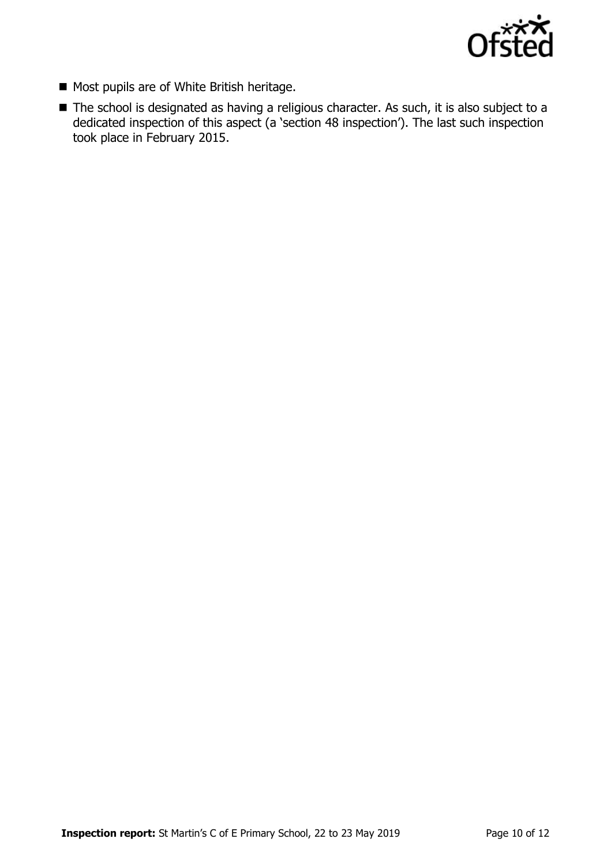

- Most pupils are of White British heritage.
- The school is designated as having a religious character. As such, it is also subject to a dedicated inspection of this aspect (a 'section 48 inspection'). The last such inspection took place in February 2015.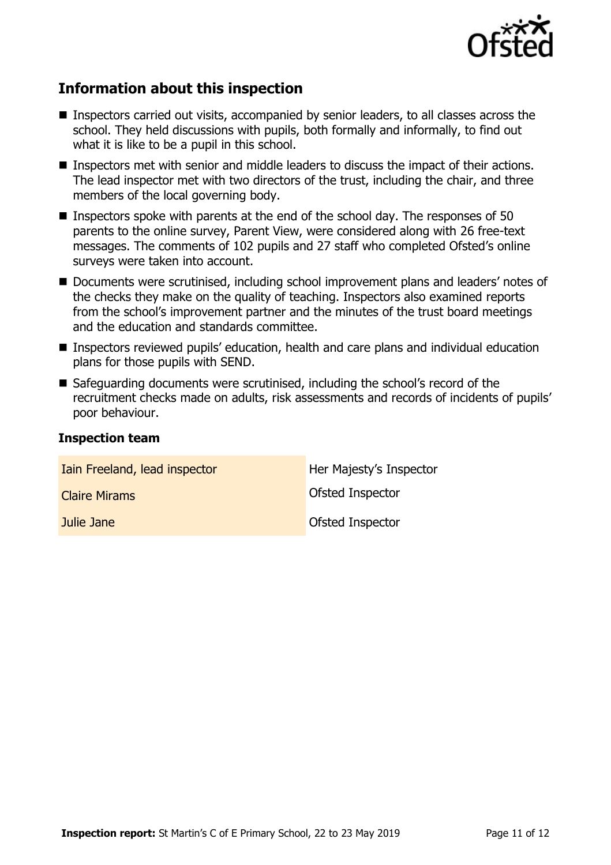

## **Information about this inspection**

- Inspectors carried out visits, accompanied by senior leaders, to all classes across the school. They held discussions with pupils, both formally and informally, to find out what it is like to be a pupil in this school.
- Inspectors met with senior and middle leaders to discuss the impact of their actions. The lead inspector met with two directors of the trust, including the chair, and three members of the local governing body.
- **Inspectors spoke with parents at the end of the school day. The responses of 50** parents to the online survey, Parent View, were considered along with 26 free-text messages. The comments of 102 pupils and 27 staff who completed Ofsted's online surveys were taken into account.
- Documents were scrutinised, including school improvement plans and leaders' notes of the checks they make on the quality of teaching. Inspectors also examined reports from the school's improvement partner and the minutes of the trust board meetings and the education and standards committee.
- Inspectors reviewed pupils' education, health and care plans and individual education plans for those pupils with SEND.
- Safeguarding documents were scrutinised, including the school's record of the recruitment checks made on adults, risk assessments and records of incidents of pupils' poor behaviour.

#### **Inspection team**

| Iain Freeland, lead inspector | Her Majesty's Inspector |
|-------------------------------|-------------------------|
| <b>Claire Mirams</b>          | Ofsted Inspector        |
| Julie Jane                    | Ofsted Inspector        |